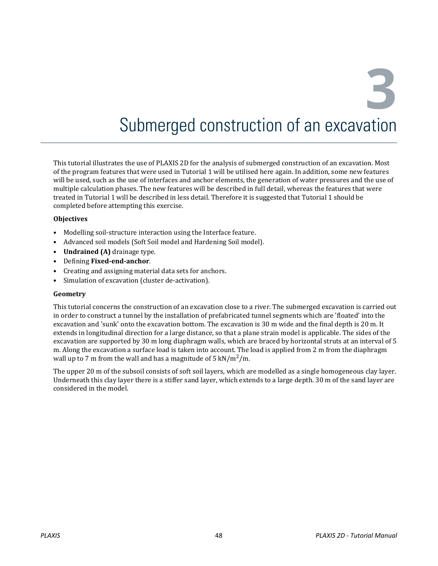**3**

# Submerged construction of an excavation

This tutorial illustrates the use of PLAXIS 2D for the analysis of submerged construction of an excavation. Most of the program features that were used in Tutorial 1 will be utilised here again. In addition, some new features will be used, such as the use of interfaces and anchor elements, the generation of water pressures and the use of multiple calculation phases. The new features will be described in full detail, whereas the features that were treated in Tutorial 1 will be described in less detail. Therefore it is suggested that Tutorial 1 should be completed before attempting this exercise.

#### **Objectives**

- Modelling soil-structure interaction using the Interface feature.
- Advanced soil models (Soft Soil model and Hardening Soil model).
- **Undrained (A)** drainage type.
- Defining **Fixed-end-anchor**.
- Creating and assigning material data sets for anchors.
- Simulation of excavation (cluster de-activation).

#### **Geometry**

This tutorial concerns the construction of an excavation close to a river. The submerged excavation is carried out in order to construct a tunnel by the installation of prefabricated tunnel segments which are 'floated' into the excavation and 'sunk' onto the excavation bottom. The excavation is 30 m wide and the final depth is 20 m. It extends in longitudinal direction for a large distance, so that a plane strain model is applicable. The sides of the excavation are supported by 30 m long diaphragm walls, which are braced by horizontal struts at an interval of 5 m. Along the excavation a surface load is taken into account. The load is applied from 2 m from the diaphragm wall up to 7 m from the wall and has a magnitude of 5 kN/m<sup>2</sup>/m.

The upper 20 m of the subsoil consists of soft soil layers, which are modelled as a single homogeneous clay layer. Underneath this clay layer there is a stiffer sand layer, which extends to a large depth. 30 m of the sand layer are considered in the model.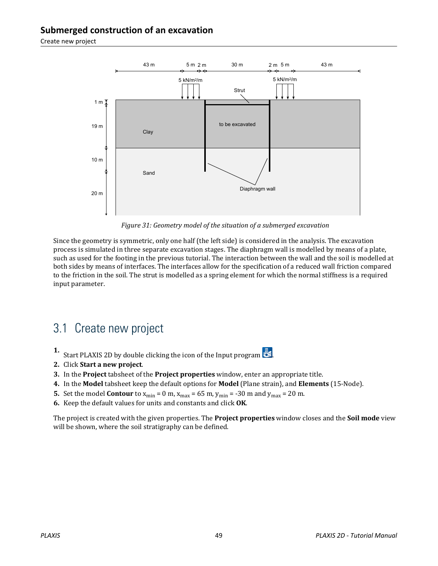Create new project



*Figure 31: Geometry model of the situation of a submerged excavation*

Since the geometry is symmetric, only one half (the left side) is considered in the analysis. The excavation process is simulated in three separate excavation stages. The diaphragm wall is modelled by means of a plate, such as used for the footing in the previous tutorial. The interaction between the wall and the soil is modelled at both sides by means of interfaces. The interfaces allow for the specification of a reduced wall friction compared to the friction in the soil. The strut is modelled as a spring element for which the normal stiffness is a required input parameter.

# 3.1 Create new project

- **1.** Start PLAXIS 2D by double clicking the icon of the Input program  $\mathbb{Z}$ .
- **2.** Click **Start a new project**.
- **3.** In the **Project** tabsheet of the **Project properties** window, enter an appropriate title.
- **4.** In the **Model** tabsheet keep the default options for **Model** (Plane strain}, and **Elements** (15-Node).
- **5.** Set the model **Contour** to  $x_{\text{min}} = 0$  m,  $x_{\text{max}} = 65$  m,  $y_{\text{min}} = -30$  m and  $y_{\text{max}} = 20$  m.
- **6.** Keep the default values for units and constants and click **OK**.

The project is created with the given properties. The **Project properties** window closes and the **Soil mode** view will be shown, where the soil stratigraphy can be defined.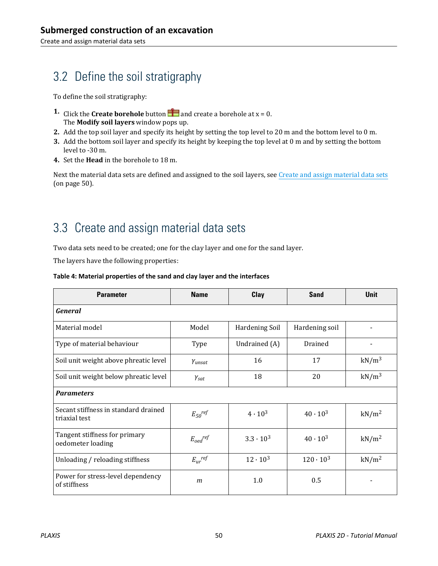# 3.2 Define the soil stratigraphy

To define the soil stratigraphy:

- **1.** Click the **Create borehole** button **a** and create a borehole at  $x = 0$ . The **Modify soil layers** window pops up.
- **2.** Add the top soil layer and specify its height by setting the top level to 20 m and the bottom level to 0 m.
- **3.** Add the bottom soil layer and specify its height by keeping the top level at 0 m and by setting the bottom level to -30 m.
- **4.** Set the **Head** in the borehole to 18 m.

Next the material data sets are defined and assigned to the soil layers, see Create and assign material data sets (on page 50).

# 3.3 Create and assign material data sets

Two data sets need to be created; one for the clay layer and one for the sand layer.

The layers have the following properties:

| <b>Parameter</b>                                      | <b>Name</b>             | Clay               | <b>Sand</b>        | <b>Unit</b>       |
|-------------------------------------------------------|-------------------------|--------------------|--------------------|-------------------|
| General                                               |                         |                    |                    |                   |
| Material model                                        | Model                   | Hardening Soil     | Hardening soil     |                   |
| Type of material behaviour                            | Type                    | Undrained (A)      | Drained            |                   |
| Soil unit weight above phreatic level                 | $Y$ unsat               | 16                 | 17                 | kN/m <sup>3</sup> |
| Soil unit weight below phreatic level                 | $\gamma_{\text{sat}}$   | 18                 | 20                 | kN/m <sup>3</sup> |
| <b>Parameters</b>                                     |                         |                    |                    |                   |
| Secant stiffness in standard drained<br>triaxial test | $E_{50}$ ref            | $4 \cdot 10^3$     | $40 \cdot 10^{3}$  | kN/m <sup>2</sup> |
| Tangent stiffness for primary<br>oedometer loading    | $E_{oed}^{ref}$         | $3.3 \cdot 10^{3}$ | $40 \cdot 10^{3}$  | kN/m <sup>2</sup> |
| Unloading / reloading stiffness                       | $E_{ur}$ <sup>ref</sup> | $12 \cdot 10^{3}$  | $120 \cdot 10^{3}$ | kN/m <sup>2</sup> |
| Power for stress-level dependency<br>of stiffness     | $\mathfrak{m}$          | 1.0                | 0.5                |                   |

#### **Table 4: Material properties of the sand and clay layer and the interfaces**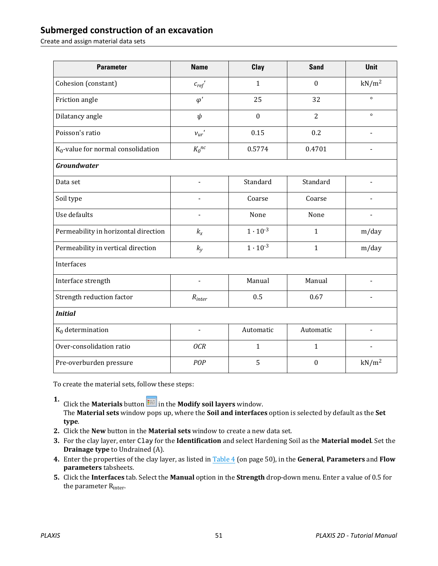Create and assign material data sets

| <b>Parameter</b>                      | <b>Name</b>        | Clay              | <b>Sand</b>      | <b>Unit</b>       |  |
|---------------------------------------|--------------------|-------------------|------------------|-------------------|--|
| Cohesion (constant)                   | $c_{\text{ref}}$ ' | $\mathbf{1}$      | $\boldsymbol{0}$ | kN/m <sup>2</sup> |  |
| Friction angle                        | $\varphi'$         | 25                | 32               | $\circ$           |  |
| Dilatancy angle                       | $\psi$             | $\boldsymbol{0}$  | $\overline{2}$   | $\circ$           |  |
| Poisson's ratio                       | $v_{ur}$ '         | 0.15              | 0.2              |                   |  |
| $K_0$ -value for normal consolidation | $K_0^{nc}$         | 0.5774            | 0.4701           |                   |  |
| <b>Groundwater</b>                    |                    |                   |                  |                   |  |
| Data set                              |                    | Standard          | Standard         |                   |  |
| Soil type                             |                    | Coarse            | Coarse           |                   |  |
| Use defaults                          |                    | None              | None             |                   |  |
| Permeability in horizontal direction  | $k_{x}$            | $1 \cdot 10^{-3}$ | $\mathbf{1}$     | m/day             |  |
| Permeability in vertical direction    | $k_y$              | $1 \cdot 10^{-3}$ | $\mathbf{1}$     | m/day             |  |
| Interfaces                            |                    |                   |                  |                   |  |
| Interface strength                    |                    | Manual            | Manual           | L.                |  |
| Strength reduction factor             | $R_{inter}$        | 0.5               | 0.67             |                   |  |
| <b>Initial</b>                        |                    |                   |                  |                   |  |
| $K_0$ determination                   | $\blacksquare$     | Automatic         | Automatic        | $\blacksquare$    |  |
| Over-consolidation ratio              | <b>OCR</b>         | $\mathbf{1}$      | $\mathbf{1}$     | $\blacksquare$    |  |
| Pre-overburden pressure               | POP                | 5                 | $\boldsymbol{0}$ | kN/m <sup>2</sup> |  |

To create the material sets, follow these steps:

**1.** Click the **Materials** button **in the Modify soil layers** window. The **Material sets** window pops up, where the **Soil and interfaces** option is selected by default as the **Set type**.

- **2.** Click the **New** button in the **Material sets** window to create a new data set.
- **3.** For the clay layer, enter Clay for the **Identification** and select Hardening Soil as the **Material model**. Set the **Drainage type** to Undrained (A).
- **4.** Enter the properties of the clay layer, as listed in Table 4 (on page 50), in the **General**, **Parameters** and **Flow parameters** tabsheets.
- **5.** Click the **Interfaces** tab. Select the **Manual** option in the **Strength** drop-down menu. Enter a value of 0.5 for the parameter R<sub>inter</sub>.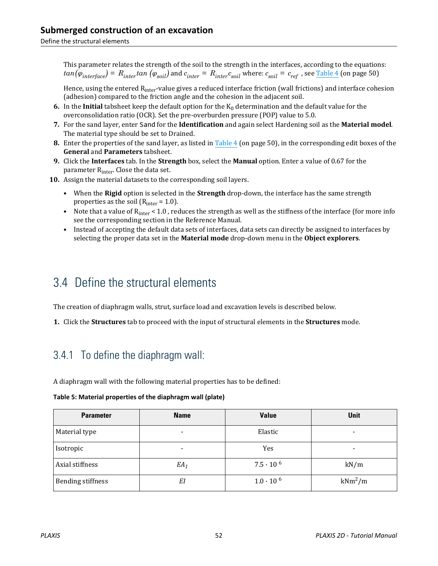Define the structural elements

This parameter relates the strength of the soil to the strength in the interfaces, according to the equations:  $tan(\varphi_{interface})$  =  $R_{inter}tan\ (\varphi_{soil})$  and  $c_{inter}$  =  $R_{inter}c_{soil}$  where:  $c_{soil}$  =  $c_{ref}$  , see <u>Table 4</u> (on page 50)

Hence, using the entered R<sub>inter</sub>-value gives a reduced interface friction (wall frictions) and interface cohesion (adhesion) compared to the friction angle and the cohesion in the adjacent soil.

- **6.** In the **Initial** tabsheet keep the default option for the  $K_0$  determination and the default value for the overconsolidation ratio (OCR). Set the pre-overburden pressure (POP) value to 5.0.
- **7.** For the sand layer, enter Sand for the **Identification** and again select Hardening soil as the **Material model**. The material type should be set to Drained.
- **8.** Enter the properties of the sand layer, as listed in Table 4 (on page 50), in the corresponding edit boxes of the **General** and **Parameters** tabsheet.
- **9.** Click the **Interfaces** tab. In the **Strength** box, select the **Manual** option. Enter a value of 0.67 for the parameter R<sub>inter</sub>. Close the data set.
- **10.** Assign the material datasets to the corresponding soil layers.
	- When the **Rigid** option is selected in the **Strength** drop-down, the interface has the same strength properties as the soil ( $R<sub>inter</sub> = 1.0$ ).
	- Note that a value of  $R_{inter} < 1.0$ , reduces the strength as well as the stiffness of the interface (for more info see the corresponding section in the Reference Manual.
	- Instead of accepting the default data sets of interfaces, data sets can directly be assigned to interfaces by selecting the proper data set in the **Material mode** drop-down menu in the **Object explorers**.

# 3.4 Define the structural elements

The creation of diaphragm walls, strut, surface load and excavation levels is described below.

**1.** Click the **Structures** tab to proceed with the input of structural elements in the **Structures** mode.

## 3.4.1 To define the diaphragm wall:

A diaphragm wall with the following material properties has to be defined:

| Table 5: Material properties of the diaphragm wall (plate) |  |
|------------------------------------------------------------|--|
|------------------------------------------------------------|--|

| <b>Parameter</b>         | <b>Name</b> | <b>Value</b>       | Unit      |
|--------------------------|-------------|--------------------|-----------|
| Material type            | -           | Elastic            | $\,$      |
| Isotropic                | $\,$        | Yes                | ٠         |
| Axial stiffness          | $EA_1$      | $7.5 \cdot 10^{6}$ | kN/m      |
| <b>Bending stiffness</b> | ΕI          | $1.0 \cdot 10^{6}$ | $kNm^2/m$ |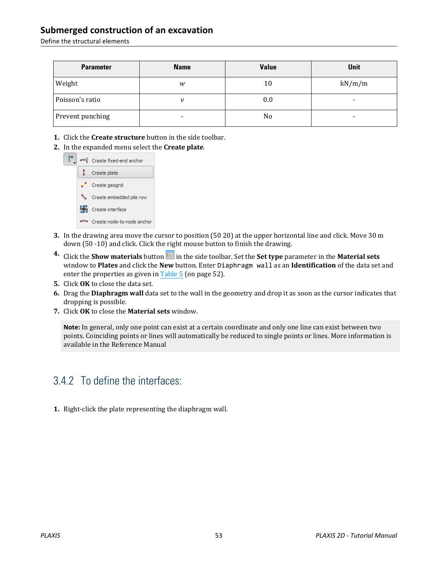Define the structural elements

| <b>Parameter</b> | <b>Name</b> | <b>Value</b>   | <b>Unit</b> |
|------------------|-------------|----------------|-------------|
| Weight           | w           | 10             | kN/m/m      |
| Poisson's ratio  | ν           | 0.0            | $\,$        |
| Prevent punching | -           | N <sub>0</sub> | $\,$        |

- **1.** Click the **Create structure** button in the side toolbar.
- **2.** In the expanded menu select the **Create plate**.



- **3.** In the drawing area move the cursor to position (50 20) at the upper horizontal line and click. Move 30 m down (50 -10) and click. Click the right mouse button to finish the drawing.
- **4.** Click the **Show materials** button in the side toolbar. Set the **Set type** parameter in the **Material sets** window to **Plates** and click the **New** button. Enter Diaphragm wall as an **Identification** of the data set and enter the properties as given in Table 5 (on page 52).
- **5.** Click **OK** to close the data set.
- **6.** Drag the **Diaphragm wall** data set to the wall in the geometry and drop it as soon as the cursor indicates that dropping is possible.
- **7.** Click **OK** to close the **Material sets** window.

**Note:** In general, only one point can exist at a certain coordinate and only one line can exist between two points. Coinciding points or lines will automatically be reduced to single points or lines. More information is available in the Reference Manual

### 3.4.2 To define the interfaces:

**1.** Right-click the plate representing the diaphragm wall.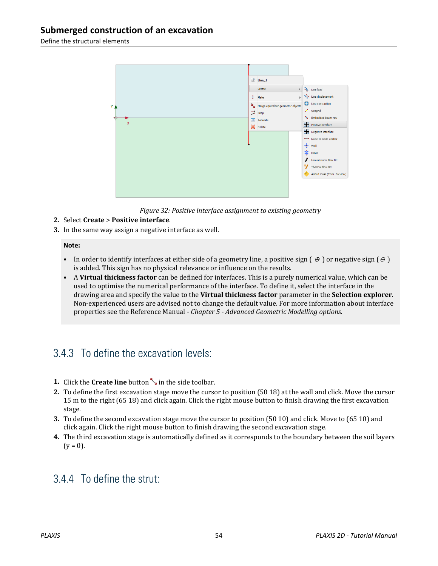Define the structural elements



*Figure 32: Positive interface assignment to existing geometry*

#### **2.** Select **Create** > **Positive interface**.

**3.** In the same way assign a negative interface as well.

#### **Note:**

- In order to identify interfaces at either side of a geometry line, a positive sign  $(\theta)$  or negative sign  $(\theta)$ is added. This sign has no physical relevance or influence on the results.
- A **Virtual thickness factor** can be defined for interfaces. This is a purely numerical value, which can be used to optimise the numerical performance of the interface. To define it, select the interface in the drawing area and specify the value to the **Virtual thickness factor** parameter in the **Selection explorer**. Non-experienced users are advised not to change the default value. For more information about interface properties see the Reference Manual *- Chapter 5 - Advanced Geometric Modelling options.*

### 3.4.3 To define the excavation levels:

- **1.** Click the **Create line** button in the side toolbar.
- **2.** To define the first excavation stage move the cursor to position (50 18) at the wall and click. Move the cursor 15 m to the right (65 18) and click again. Click the right mouse button to finish drawing the first excavation stage.
- **3.** To define the second excavation stage move the cursor to position (50 10) and click. Move to (65 10) and click again. Click the right mouse button to finish drawing the second excavation stage.
- **4.** The third excavation stage is automatically defined as it corresponds to the boundary between the soil layers  $(y = 0)$ .

### 3.4.4 To define the strut: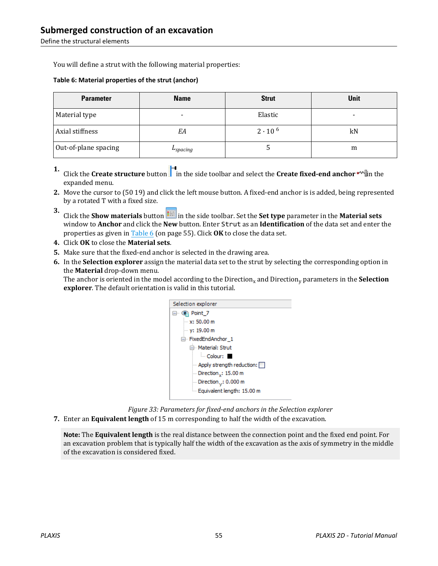Define the structural elements

You will define a strut with the following material properties:

#### **Table 6: Material properties of the strut (anchor)**

| <b>Parameter</b>     | <b>Name</b> | <b>Strut</b>     | Unit |
|----------------------|-------------|------------------|------|
| Material type        |             | Elastic          | -    |
| Axial stiffness      | EΑ          | $2 \cdot 10^{6}$ | kN   |
| Out-of-plane spacing | -spacing    |                  | m    |

- **1.** Click the **Create structure** button in the side toolbar and select the **Create fixed-end anchor** in the expanded menu.
- **2.** Move the cursor to (50 19) and click the left mouse button. A fixed-end anchor is is added, being represented by a rotated T with a fixed size.
- **3.** Click the **Show materials** button **in the side toolbar.** Set the **Set type** parameter in the **Material sets** window to **Anchor** and click the **New** button. Enter Strut as an **Identification** of the data set and enter the properties as given in Table 6 (on page 55). Click **OK** to close the data set.
- **4.** Click **OK** to close the **Material sets**.
- **5.** Make sure that the fixed-end anchor is selected in the drawing area.
- **6.** In the **Selection explorer** assign the material data set to the strut by selecting the corresponding option in the **Material** drop-down menu.

The anchor is oriented in the model according to the Direction<sub>x</sub> and Direction<sub>y</sub> parameters in the **Selection explorer**. The default orientation is valid in this tutorial.



*Figure 33: Parameters for fixed-end anchors in the Selection explorer*

**7.** Enter an **Equivalent length** of 15 m corresponding to half the width of the excavation.

**Note:** The **Equivalent length** is the real distance between the connection point and the fixed end point. For an excavation problem that is typically half the width of the excavation as the axis of symmetry in the middle of the excavation is considered fixed.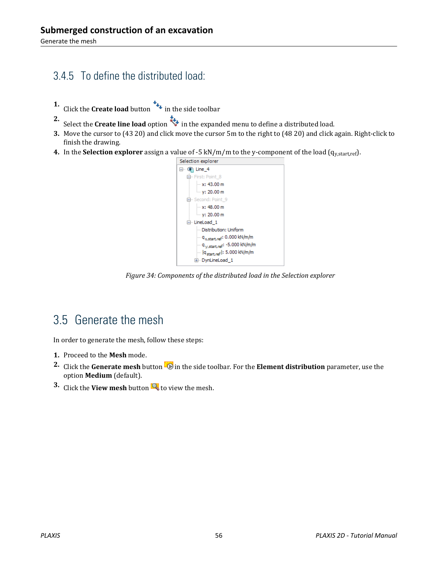## 3.4.5 To define the distributed load:

- **1.** Click the **Create load** button **in the side toolbar**
- **2.** Select the **Create line load** option in the expanded menu to define a distributed load.
- **3.** Move the cursor to (43 20) and click move the cursor 5m to the right to (48 20) and click again. Right-click to finish the drawing.
- **4.** In the **Selection explorer** assign a value of  $-5$  kN/m/m to the y-component of the load ( $q_{y, start, ref}$ ).



*Figure 34: Components of the distributed load in the Selection explorer*

# 3.5 Generate the mesh

In order to generate the mesh, follow these steps:

- **1.** Proceed to the **Mesh** mode.
- **2.** Click the **Generate mesh** button  $\mathbb{Z}$  in the side toolbar. For the **Element distribution** parameter, use the option **Medium** (default).
- **3.** Click the **View mesh** button **R** to view the mesh.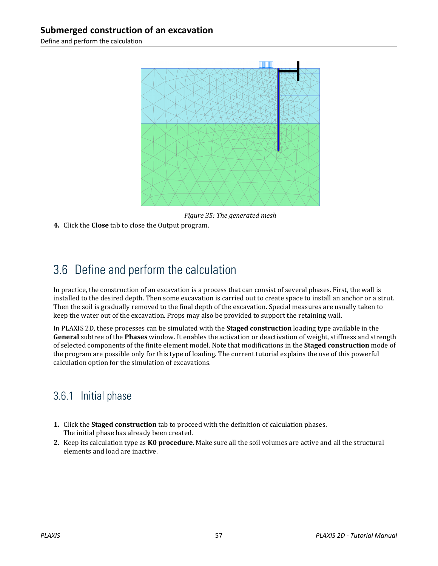Define and perform the calculation



*Figure 35: The generated mesh*

**4.** Click the **Close** tab to close the Output program.

# 3.6 Define and perform the calculation

In practice, the construction of an excavation is a process that can consist of several phases. First, the wall is installed to the desired depth. Then some excavation is carried out to create space to install an anchor or a strut. Then the soil is gradually removed to the final depth of the excavation. Special measures are usually taken to keep the water out of the excavation. Props may also be provided to support the retaining wall.

In PLAXIS 2D, these processes can be simulated with the **Staged construction** loading type available in the **General** subtree of the **Phases** window. It enables the activation or deactivation of weight, stiffness and strength of selected components of the finite element model. Note that modifications in the **Staged construction** mode of the program are possible only for this type of loading. The current tutorial explains the use of this powerful calculation option for the simulation of excavations.

### 3.6.1 Initial phase

- **1.** Click the **Staged construction** tab to proceed with the definition of calculation phases. The initial phase has already been created.
- **2.** Keep its calculation type as **K0 procedure**. Make sure all the soil volumes are active and all the structural elements and load are inactive.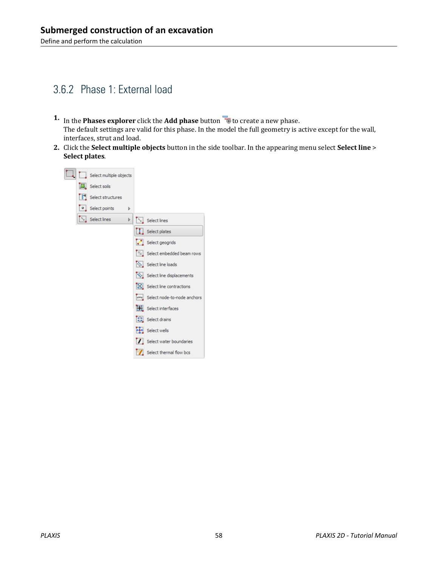### 3.6.2 Phase 1: External load

- **1.** In the **Phases explorer** click the **Add phase** button **the creater a new phase.** The default settings are valid for this phase. In the model the full geometry is active except for the wall, interfaces, strut and load.
- **2.** Click the **Select multiple objects** button in the side toolbar. In the appearing menu select **Select line** > **Select plates**.

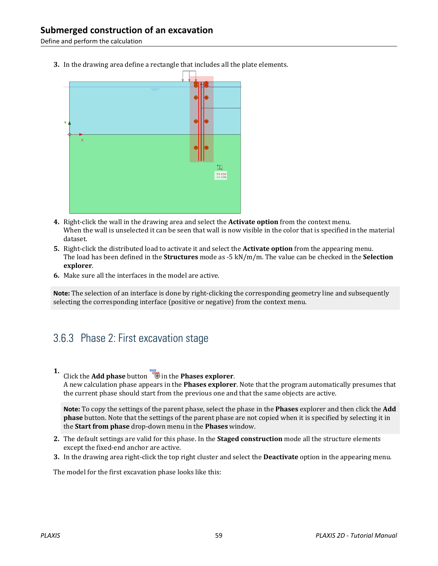Define and perform the calculation

**3.** In the drawing area define a rectangle that includes all the plate elements.



- **4.** Right-click the wall in the drawing area and select the **Activate option** from the context menu. When the wall is unselected it can be seen that wall is now visible in the color that is specified in the material dataset.
- **5.** Right-click the distributed load to activate it and select the **Activate option** from the appearing menu. The load has been defined in the **Structures** mode as -5 kN/m/m. The value can be checked in the **Selection explorer**.
- **6.** Make sure all the interfaces in the model are active.

**Note:** The selection of an interface is done by right-clicking the corresponding geometry line and subsequently selecting the corresponding interface (positive or negative) from the context menu.

### 3.6.3 Phase 2: First excavation stage

**1.** Click the **Add phase** button  $\overline{\bullet}$  in the **Phases explorer**.

A new calculation phase appears in the **Phases explorer**. Note that the program automatically presumes that the current phase should start from the previous one and that the same objects are active.

**Note:** To copy the settings of the parent phase, select the phase in the **Phases** explorer and then click the **Add phase** button. Note that the settings of the parent phase are not copied when it is specified by selecting it in the **Start from phase** drop-down menu in the **Phases** window.

- **2.** The default settings are valid for this phase. In the **Staged construction** mode all the structure elements except the fixed-end anchor are active.
- **3.** In the drawing area right-click the top right cluster and select the **Deactivate** option in the appearing menu.

The model for the first excavation phase looks like this: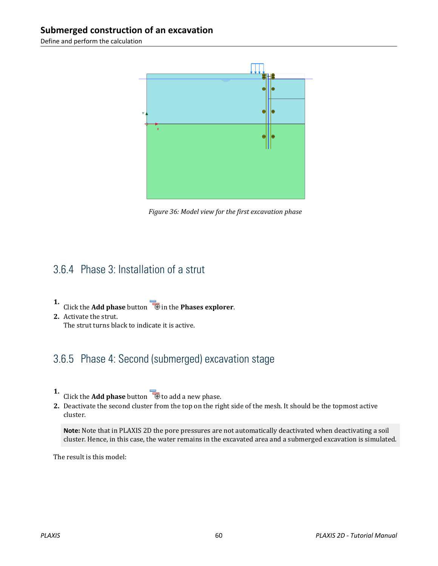Define and perform the calculation



*Figure 36: Model view for the first excavation phase*

### 3.6.4 Phase 3: Installation of a strut

- **1.** Click the **Add phase** button **in** in the **Phases explorer**.
- **2.** Activate the strut. The strut turns black to indicate it is active.

## 3.6.5 Phase 4: Second (submerged) excavation stage

- **1.** Click the **Add phase** button **the add a new phase.**
- **2.** Deactivate the second cluster from the top on the right side of the mesh. It should be the topmost active cluster.

**Note:** Note that in PLAXIS 2D the pore pressures are not automatically deactivated when deactivating a soil cluster. Hence, in this case, the water remains in the excavated area and a submerged excavation is simulated.

The result is this model: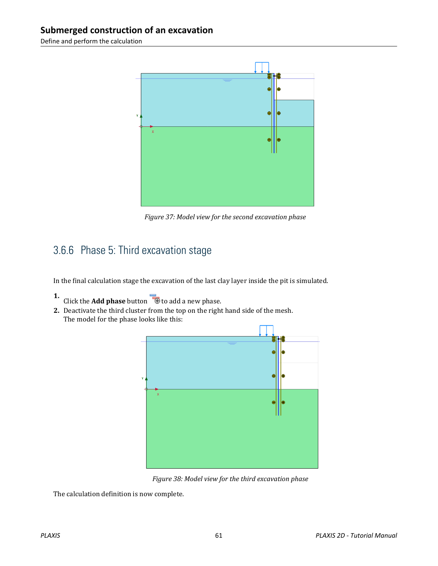Define and perform the calculation



*Figure 37: Model view for the second excavation phase*

## 3.6.6 Phase 5: Third excavation stage

In the final calculation stage the excavation of the last clay layer inside the pit is simulated.

- **1.** Click the **Add phase** button **the add a new phase.**
- **2.** Deactivate the third cluster from the top on the right hand side of the mesh. The model for the phase looks like this:



*Figure 38: Model view for the third excavation phase*

The calculation definition is now complete.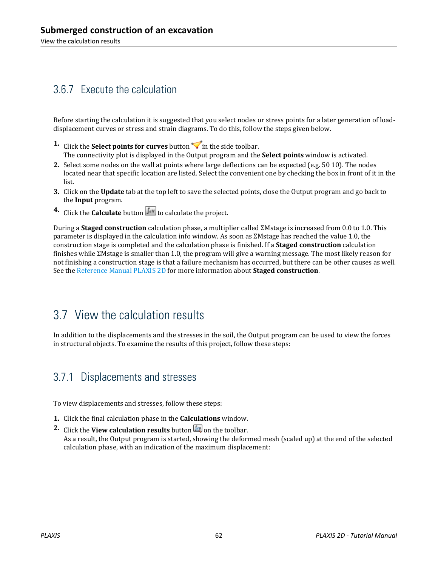### 3.6.7 Execute the calculation

Before starting the calculation it is suggested that you select nodes or stress points for a later generation of loaddisplacement curves or stress and strain diagrams. To do this, follow the steps given below.

- **1.** Click the **Select points for curves** button  $\triangledown$  in the side toolbar. The connectivity plot is displayed in the Output program and the **Select points** window is activated.
- **2.** Select some nodes on the wall at points where large deflections can be expected (e.g. 50 10). The nodes located near that specific location are listed. Select the convenient one by checking the box in front of it in the list.
- **3.** Click on the **Update** tab at the top left to save the selected points, close the Output program and go back to the **Input** program.
- **4.** Click the **Calculate** button  $\begin{bmatrix} \mathbf{I} \cdot \mathbf{v} \\ \mathbf{v} \end{bmatrix}$  to calculate the project.

During a **Staged construction** calculation phase, a multiplier called ΣMstage is increased from 0.0 to 1.0. This parameter is displayed in the calculation info window. As soon as ΣMstage has reached the value 1.0, the construction stage is completed and the calculation phase is finished. If a **Staged construction** calculation finishes while ΣMstage is smaller than 1.0, the program will give a warning message. The most likely reason for not finishing a construction stage is that a failure mechanism has occurred, but there can be other causes as well. See the Reference Manual PLAXIS 2D for more information about **Staged construction**.

# 3.7 View the calculation results

In addition to the displacements and the stresses in the soil, the Output program can be used to view the forces in structural objects. To examine the results of this project, follow these steps:

#### 3.7.1 Displacements and stresses

To view displacements and stresses, follow these steps:

- **1.** Click the final calculation phase in the **Calculations** window.
- **2.** Click the **View calculation results** button **b** on the toolbar. As a result, the Output program is started, showing the deformed mesh (scaled up) at the end of the selected calculation phase, with an indication of the maximum displacement: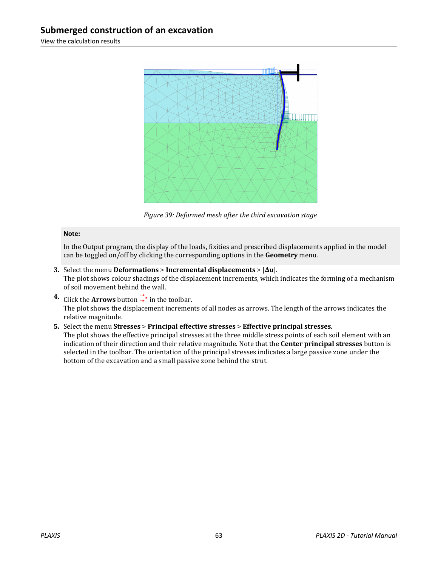View the calculation results



*Figure 39: Deformed mesh after the third excavation stage*

#### **Note:**

In the Output program, the display of the loads, fixities and prescribed displacements applied in the model can be toggled on/off by clicking the corresponding options in the **Geometry** menu.

- **3.** Select the menu **Deformations** > **Incremental displacements** > **|Δu|**. The plot shows colour shadings of the displacement increments, which indicates the forming of a mechanism of soil movement behind the wall.
- **4.** Click the **Arrows** button  $\overrightarrow{+}$  in the toolbar. The plot shows the displacement increments of all nodes as arrows. The length of the arrows indicates the relative magnitude.
- **5.** Select the menu **Stresses** > **Principal effective stresses** > **Effective principal stresses**. The plot shows the effective principal stresses at the three middle stress points of each soil element with an indication of their direction and their relative magnitude. Note that the **Center principal stresses** button is selected in the toolbar. The orientation of the principal stresses indicates a large passive zone under the bottom of the excavation and a small passive zone behind the strut.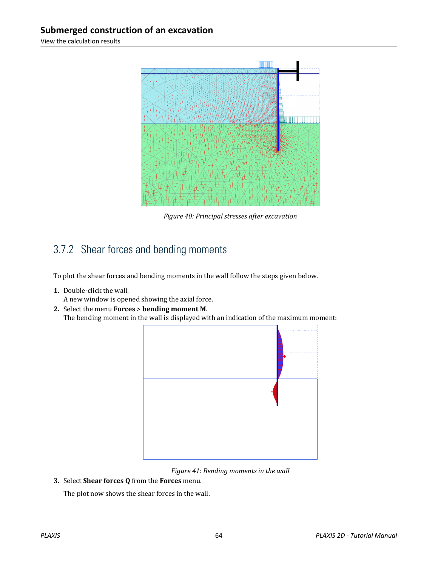View the calculation results



*Figure 40: Principal stresses after excavation*

## 3.7.2 Shear forces and bending moments

To plot the shear forces and bending moments in the wall follow the steps given below.

**1.** Double-click the wall.

A new window is opened showing the axial force.

**2.** Select the menu **Forces** > **bending moment M**. The bending moment in the wall is displayed with an indication of the maximum moment:



*Figure 41: Bending moments in the wall*

**3.** Select **Shear forces Q** from the **Forces** menu.

The plot now shows the shear forces in the wall.